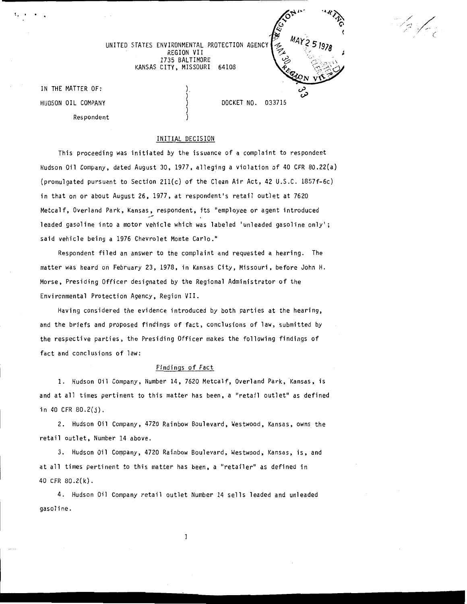

To Joy

UNITED STATES ENVIRONMENTAL PROTECTION AGENCY REGION VII 1735 BALTIMORE KANSAS CITY, MISSOURI 64108

> ), ) ) ) )

IN THE MATTER OF: HUDSON OIL COMPANY Respondent

!. •

## INITIAL DECISION

This proceeding was initiated by the issuance of a complaint to respondent Hudson Oil Company, dated August 30, 1977, alleging a violation of 40 CFR 80.22(a) (promulgated pursuant to Section 211(c) of the Clean Air Act, 42 U.S.C. 1857f-6c) in that on or about August 26, 1977, at respondent's retail outlet at 7620 Metcalf, Overland Park, Kansas, respondent, its "employee or agent introduced leaded gasoline into a motor vehicle which was labeled 'unleaded gasoline only'; said vehicle being a 1976 Chevrolet Monte Carlo."

Respondent filed an answer to the complaint and requested a hearing. The matter was heard on February 23, 1978, in Kansas City, Missouri, before John H. Morse, Presiding Officer designated by the Regional Administrator of the Environmental Protection Agency, Region VII.

Having considered the evidence introduced by both parties at the hearing, and the briefs and proposed findings of fact, conclusions of law, submitted by the respective parties, the Presiding Officer makes the following findings of fact and conclusions of law:

### Findings of Fact

1. Hudson Oil Company, Number 14, 7620 Metcalf, Overland Park, Kansas, is and at all times pertinent to this matter has been, a "retail outlet" as defined in 40 CFR 80.2(j).

2. Hudson Oil Company, 4720 Rainbow Boulevard, Westwood, Kansas, owns the retail outlet, Number 14 above.

3. Hudson Oil Company, 4720 Rainbow Boulevard, Westwood, Kansas, is, and at all times pertinent to this matter has been, a "retailer" as defined in 40 CFR 80.2(k).

4. Hudson Oil Company retail outlet Number 14 sells leaded and unleaded gasoline.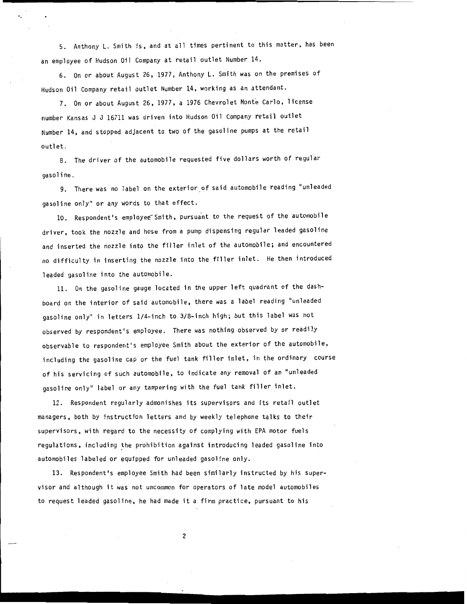5. Anthony L. Smith is, and at all times pertinent to this matter, has been an employee of Hudson Oil Company at retail outlet Number 14.

6. On or about August 26, 1977, Anthony L. Smith was on the premises of Hudson Oil Company retail outlet Number 14, working as an attendant.

·.

7. On or about August 26, 1977, a 1976 Chevrolet Monte Carlo, license number Kansas J J 16711 was driven into Hudson Oil Company retail outlet Number 14, and stopped adjacent to two of the gasoline pumps at the retail outlet.

8. The driver of the automobile requested five dollars worth of regular gasoline.

9. There was no label on the exterior of said automobile reading "unleaded gasoline only" or any words to that effect.

10. Respondent's employee Smith, pursuant to the request of the automobile driver, took the nozzle and hose from a pump dispensing regular leaded gasoline and inserted the nozzle into the filler inlet of the automobile; and encountered no difficulty in inserting the nozzle into the filler inlet. He then introduced leaded gasoline into the automobile.

11. On the gasoline gauge located in the upper left quadrant of the dashboard on the interior of said automobile, there was a label reading "unleaded gasoline only" in letters 1/4-inch to 3/8-inch high; but this label was not observed by respondent's employee. There was nothing observed by or readily observable to respondent's employee Smith about the exterior of the automobile, including the gasoline cap or the fuel tank filler inlet, in the ordinary course of his servicing of such automobile, to indicate any removal of an "unleaded gasoline only" label or any tampering with the fuel tank filler inlet.

12. Respondent regularly admonishes its supervisors and its retail outlet managers, both by instruction letters and by weekly telephone talks to their supervisors, with regard to the necessity of complying with EPA motor fuels regulations, including the prohibition against introducing leaded gasoline into automobiles labeled or equipped for unleaded gasoline only.

13. Respondent's employee Smith had been similarly instructed by his supervisor and although it was not uncommon for operators of late model automobiles to request leaded gasoline, he had made it a firm practice, pursuant to his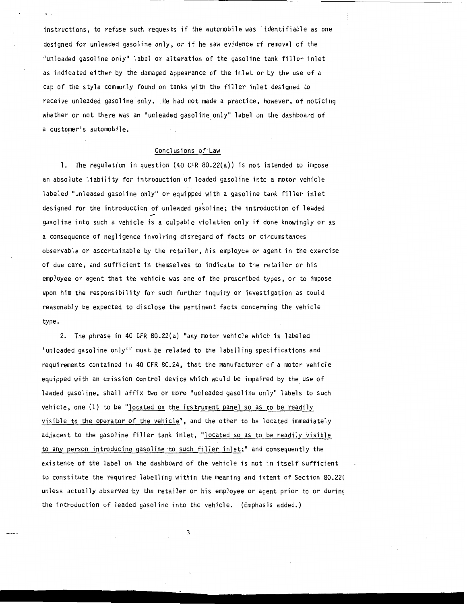instructions, to refuse such requests if the automobile was 'identifiable as one designed for unleaded gasoline only, or if he saw evidence of removal of the "unleaded gasoline only" label or alteration of the gasoline tank filler inlet as indicated either by the damaged appearance of the inlet or by the use of a cap of the style commonly found on tanks with the filler inlet designed to receive unleaded gasoline only. He had not made a practice, however, of noticing whether or not there was an "unleaded gasoline only" label on the dashboard of a customer's automobile.

## Conclusions of Law

1. The regulation in question (40 CFR 80.22(a)) is not intended to impose an absolute liability for introduction of leaded gasoline into a motor vehicle labeled "unleaded gasoline only" or equipped with a gasoline tank filler inlet designed for the introduction of unleaded gasoline; the introduction of leaded gasoline into such a vehicle is a culpable violation only if done knowingly or as a consequence of negligence involving disregard of facts or circumstances observable or ascertainable by the retailer, his employee or agent in the exercise of due care, and sufficient in themselves to indicate to the retailer or his employee or agent that the vehicle was one of the prescribed types, or to impose upon him the responsibility for such further inquiry or investigation as could reasonably be expected to disclose the pertinent facts concerning the vehicle type.

2. The phrase in 40 CFR 80.22(a) "any motor vehicle which is labeled 'unleaded gasoline only'" must be related to the labelling specifications and requirements contained in 40 CFR  $80.24$ , that the manufacturer of a motor vehicle equipped with an emission control device which would be impaired by the use of leaded gasoline, shall affix two or more "unleaded gasoline only" labels to such vehicle, one (1) to be "located on the instrument panel so as to be readily visible to the operator of the vehicle", and the other to be located immediately adjacent to the gasoline filler tank inlet, "located so as to be readily visible to any person introducing gasoline to such filler inlet;" and consequently the existence of the label on the dashboard of the vehicle is not in itself sufficient to constitute the required labelling within the meaning and intent of Section 80.22( unless actually observed by the retailer or his employee or agent prior to or during the introduction of leaded gasoline into the vehicle. (Emphasis added.)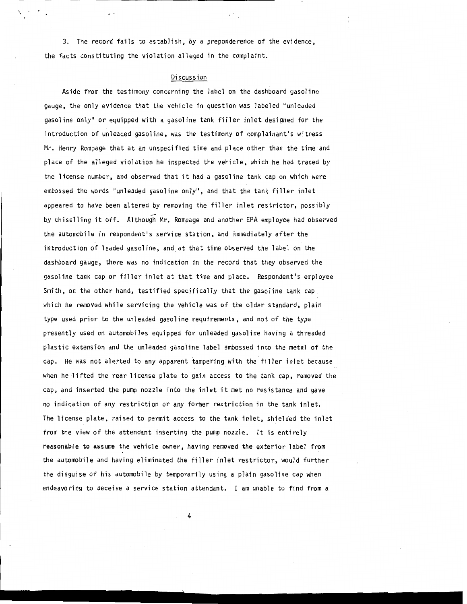3. The record fails to establish, by a preponderence of the evidence, the facts constituting the violation alleged in the complaint.

### Discussion

Aside from the testimony concerning the label on the dashboard gasoline gauge, the only evidence that the vehicle in question was labeled "unleaded gasoline only" or equipped with a gasoline tank filler inlet designed for the introduction of unleaded gasoline, was the testimony of complainant's witness Mr. Henry Rompage that at an unspecified time and place other than the time ·and place of the alleged violation he inspected the vehicle, which he had traced by the license number, and observed that it had a gasoline tank cap on which were embossed the words "unleaded gasoline only", and that the tank filler inlet appeared to have been altered by removing the filler inlet restrictor, possibly by chiselling it off. Although Mr. Rompage and another EPA employee had observed the automobile in respondent's service station, and immediately after the introduction of leaded gasoline, and at that time observed the label on the dashboard gauge, there was no indication in the record that they observed the gasoline tank cap or filler inlet at that. time and place. Respondent's employee Smith, on the other hand, testified specifically that the gasoline tank cap which he removed while servicing the vehicle was of the older standard, plain type used prior to the unleaded gasoline requirements, and not of the type presently used on automobiles equipped for unleaded gasoline having a threaded plastic extension and the unleaded gasoline label embossed into the metal of the cap. He was not alerted to any apparent tampering with the filler inlet because when he lifted the rear license plate to gain access to the tank cap, removed the cap, and inserted the pump nozzle into the inlet it met no resistance and gave no indication of any restriction or any former restriction in the tank inlet. The license plate, raised to permit access to the tank inlet, shielded the inlet from the view of the attendant inserting the pump nozzle. It is entirely reasonable to assume the vehicle owner, having removed the exterior label from the automobile and having eliminated the filler inlet restrictor, would further the disguise of his automobile by temporarily using a plain gasoline cap when endeavoring to deceive a service station attendant. I am unable to find from a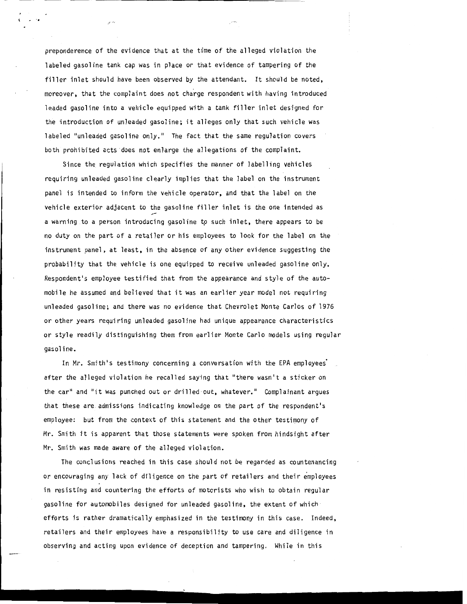preponderence of the evidence that at the time of the alleged violation the labeled gasoline tank cap was in place or that evidence of tampering of the filler inlet should have been observed by the attendant. It should be noted, moreover, that the complaint does not charge respondent with having introduced leaded gasoline into a vehicle equipped with a tank filler inlet designed for the introduction of unleaded gasoline; it alleges only that such vehicle was labeled "unleaded gasoline only." The fact that the same regulation covers both prohibited acts ·does not enlarge the allegations of the complaint.

 $\mathbb{R}^3$ 

Since the regulation which specifies the manner of labelling vehicles requiring unleaded gasoline clearly implies that the label on the instrument panel is intended to inform the vehicle operator, and that the label on the vehicle exterior adjacent to the gasoline filler inlet is the one intended as a warning to a person introducing gasoline to such inlet, there appears to be no duty on the part of a retailer or his employees to look for the label on the instrument panel, at least, in the absence of any other evidence suggesting the probability that the vehicle is one equipped to receive unleaded gasoline only. Respondent's employee testified that from the appearance and style of the automobile he assumed and believed that it was an earlier year model not requiring unleaded gasoline; and there was no evidence that Chevrolet Monte Carlos of 1976 or other years requiring unleaded gasoline had unique appearance characteristics or style readily distinguishing them from earlier Monte Carlo models using regular gasoline.

In Mr. Smith's testimony concerning a conversation with the EPA employees' after the alleged violation he recalled saying that "there wasn't a sticker on the car" and "it was punched out or drilled out, whatever." Complainant argues that these are admissions indicating knowledge on the part of the respondent's employee: but from the context of this statement and the other testimony of Mr. Smith it is apparent that those statements were spoken from hindsight after Mr. Smith was made aware of the alleged violation.

The conclusions reached in this case should not be regarded as countenancing or encouraging any lack of diligence on the part of retailers and their employees in resisting and countering the efforts of motorists who wish to obtain regular gasoline for automobiles designed for unleaded gasoline, the extent of which efforts is rather dramatically emphasized in the testimony in this case. Indeed, retailers and their employees have a responsibility to use care and diligence in observing and acting upon evidence of deception and tampering. While in this